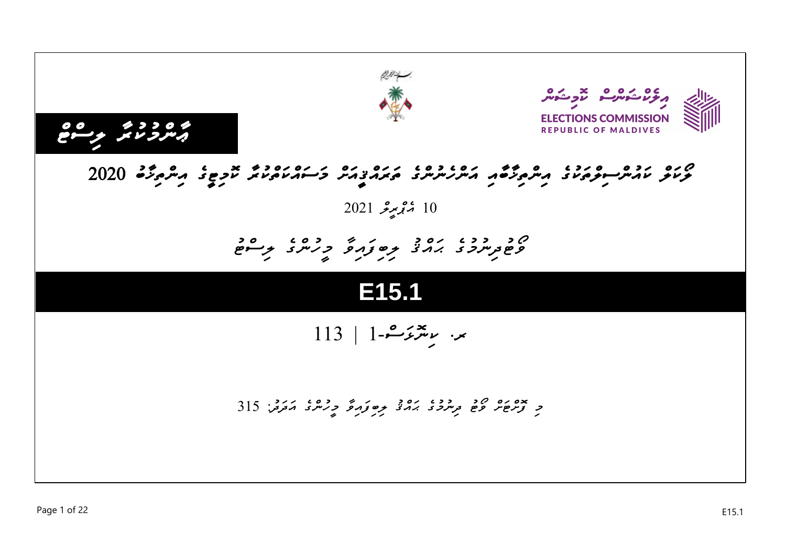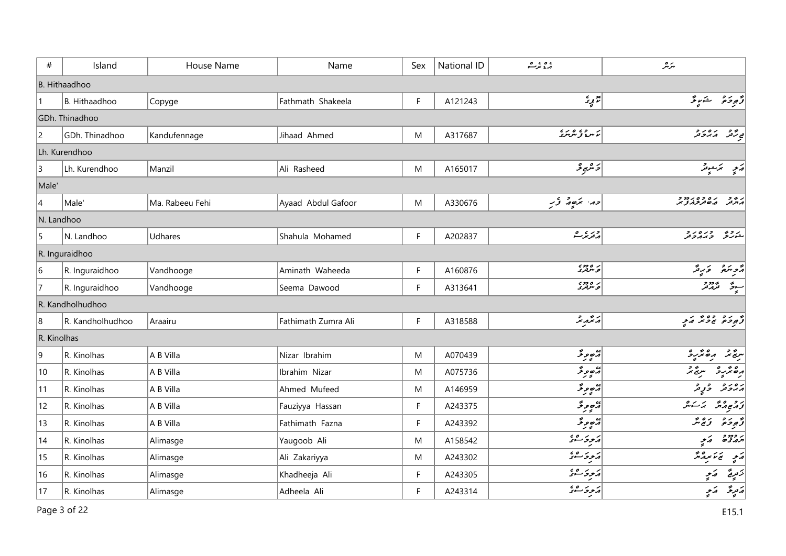| #               | Island           | House Name      | Name                | Sex         | National ID | ، ه ، بر <u>م</u>           | ىئرىتر                                 |
|-----------------|------------------|-----------------|---------------------|-------------|-------------|-----------------------------|----------------------------------------|
|                 | B. Hithaadhoo    |                 |                     |             |             |                             |                                        |
|                 | B. Hithaadhoo    | Copyge          | Fathmath Shakeela   | F           | A121243     | تړېږي                       | توجوجو خيرتى                           |
|                 | GDh. Thinadhoo   |                 |                     |             |             |                             |                                        |
| 2               | GDh. Thinadhoo   | Kandufennage    | Jihaad Ahmed        | M           | A317687     | ئەسەم ئەھەر <sup>ي</sup>    | مے پڑ <i>پر کار د</i>                  |
|                 | Lh. Kurendhoo    |                 |                     |             |             |                             |                                        |
| 3               | Lh. Kurendhoo    | Manzil          | Ali Rasheed         | M           | A165017     | 5 يرىپو پى                  | أركمني المركب وتر                      |
| Male'           |                  |                 |                     |             |             |                             |                                        |
| $\vert 4 \vert$ | Male'            | Ma. Rabeeu Fehi | Ayaad Abdul Gafoor  | M           | A330676     | ور برَه دُ زَرِ             | ג ב גם כסגמב<br>התב הסבת <i>בה ב</i> ב |
| N. Landhoo      |                  |                 |                     |             |             |                             |                                        |
| 5               | N. Landhoo       | <b>Udhares</b>  | Shahula Mohamed     | F           | A202837     | د بر بر <u>م</u>            | شەرقى ئەرەر ئ                          |
|                 | R. Inguraidhoo   |                 |                     |             |             |                             |                                        |
| 6               | R. Inguraidhoo   | Vandhooge       | Aminath Waheeda     | $\mathsf F$ | A160876     | ر ۵ دو د<br>حرمبرور         | مەھ ئىق ئەيدىگە                        |
| 7               | R. Inguraidhoo   | Vandhooge       | Seema Dawood        | F           | A313641     | ر ه دد ،<br>حرمربری         | سوش محمد و                             |
|                 | R. Kandholhudhoo |                 |                     |             |             |                             |                                        |
| 8               | R. Kandholhudhoo | Araairu         | Fathimath Zumra Ali | F           | A318588     | ىر ئىزىر<br>مەئىرىس         | و و ده ده د ک                          |
| R. Kinolhas     |                  |                 |                     |             |             |                             |                                        |
| $\vert$ 9       | R. Kinolhas      | A B Villa       | Nizar Ibrahim       | ${\sf M}$   | A070439     | میں جو محر<br>م             | سرچ ته د همگر د                        |
| $ 10\rangle$    | R. Kinolhas      | A B Villa       | Ibrahim Nizar       | M           | A075736     | يھ ھومڅه<br>م               | رەتزىر سەتر                            |
| 11              | R. Kinolhas      | A B Villa       | Ahmed Mufeed        | M           | A146959     | يھ ھومڅه<br>م               | رەر <i>دې</i> دېگر                     |
| 12              | R. Kinolhas      | A B Villa       | Fauziyya Hassan     | F           | A243375     | نه <sub>ح</sub> ومتر<br>موس | زرم والملح المراكب والملح              |
| $ 13\rangle$    | R. Kinolhas      | A B Villa       | Fathimath Fazna     | F           | A243392     | ى<br>مەھ بە                 | توجوخا توكانتر                         |
| 14              | R. Kinolhas      | Alimasge        | Yaugoob Ali         | M           | A158542     | رزوجه شويح                  | ת כבר ב                                |
| 15              | R. Kinolhas      | Alimasge        | Ali Zakariyya       | M           | A243302     | لأعرجه سفوته                |                                        |
| 16              | R. Kinolhas      | Alimasge        | Khadheeja Ali       | F           | A243305     | لأمرخ سفو                   | تزمرق أأأمر                            |
| 17              | R. Kinolhas      | Alimasge        | Adheela Ali         | E           | A243314     | لأوديدهم                    | ړېږ ته کړ                              |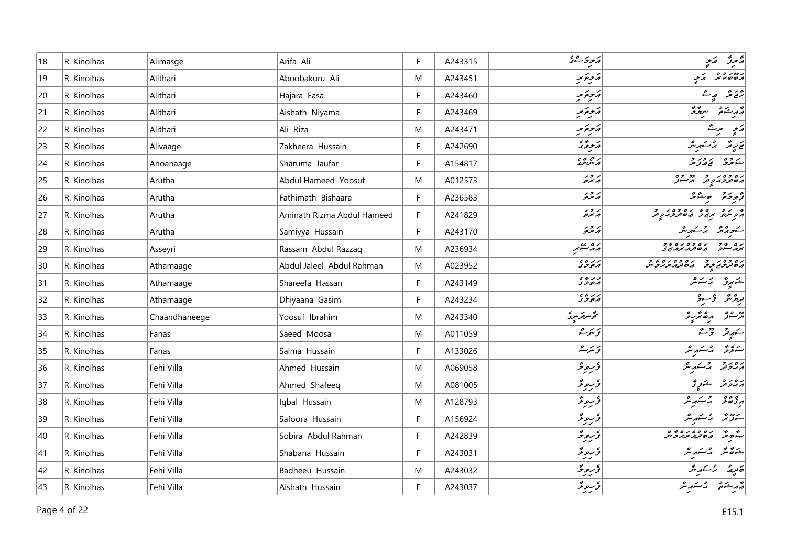| 18 | R. Kinolhas | Alimasge      | Arifa Ali                  | F           | A243315 | وسرخ وعميمي                   | $\frac{5}{6}$ $\frac{5}{3}$                                                                                                                                                                                                                                                                                         |
|----|-------------|---------------|----------------------------|-------------|---------|-------------------------------|---------------------------------------------------------------------------------------------------------------------------------------------------------------------------------------------------------------------------------------------------------------------------------------------------------------------|
| 19 | R. Kinolhas | Alithari      | Aboobakuru Ali             | M           | A243451 | وكمتوهومر                     |                                                                                                                                                                                                                                                                                                                     |
| 20 | R. Kinolhas | Alithari      | Hajara Easa                | $\mathsf F$ | A243460 | وكمترهوسر                     | $\frac{1}{2}$ $\frac{1}{2}$ $\frac{1}{2}$ $\frac{1}{2}$ $\frac{1}{2}$ $\frac{1}{2}$ $\frac{1}{2}$ $\frac{1}{2}$ $\frac{1}{2}$ $\frac{1}{2}$ $\frac{1}{2}$ $\frac{1}{2}$ $\frac{1}{2}$ $\frac{1}{2}$ $\frac{1}{2}$ $\frac{1}{2}$ $\frac{1}{2}$ $\frac{1}{2}$ $\frac{1}{2}$ $\frac{1}{2}$ $\frac{1}{2}$ $\frac{1}{2}$ |
| 21 | R. Kinolhas | Alithari      | Aishath Niyama             | F.          | A243469 | وكمعرضو                       |                                                                                                                                                                                                                                                                                                                     |
| 22 | R. Kinolhas | Alithari      | Ali Riza                   | M           | A243471 | وكمعرض                        | ەيم برگى<br>ئەنبەر كەسىر                                                                                                                                                                                                                                                                                            |
| 23 | R. Kinolhas | Alivaage      | Zakheera Hussain           | $\mathsf F$ | A242690 | بزوج                          |                                                                                                                                                                                                                                                                                                                     |
| 24 | R. Kinolhas | Anoanaage     | Sharuma Jaufar             | F           | A154817 | ر ۾ ءِ ۽<br>مرس               | 2, 2, 2, 3, 4                                                                                                                                                                                                                                                                                                       |
| 25 | R. Kinolhas | Arutha        | Abdul Hameed Yoosuf        | M           | A012573 | ر ور<br>مربره                 | ן פרסן כר כר כר<br>הפתוטות מיית                                                                                                                                                                                                                                                                                     |
| 26 | R. Kinolhas | Arutha        | Fathimath Bishaara         | F           | A236583 | ر و ر<br>مرس                  | و د د هشتگی<br>گروه هشتگی                                                                                                                                                                                                                                                                                           |
| 27 | R. Kinolhas | Arutha        | Aminath Rizma Abdul Hameed | F           | A241829 | ەر بەر                        |                                                                                                                                                                                                                                                                                                                     |
| 28 | R. Kinolhas | Arutha        | Samiyya Hussain            | F           | A243170 | ر ور<br>مرسم                  | سكوروش بركستهر مثل                                                                                                                                                                                                                                                                                                  |
| 29 | R. Kinolhas | Asseyri       | Rassam Abdul Razzaq        | M           | A236934 | لئەھمىسىر                     | נם שיר נסיכם ניסיבי<br>מגנייכ גם <i>נגמימים</i> ב                                                                                                                                                                                                                                                                   |
| 30 | R. Kinolhas | Athamaage     | Abdul Jaleel Abdul Rahman  | M           | A023952 | ر ر د »<br>پره <del>و</del> و |                                                                                                                                                                                                                                                                                                                     |
| 31 | R. Kinolhas | Athamaage     | Shareefa Hassan            | $\mathsf F$ | A243149 | ر ر د »<br>پره د د            | ختيروٌ - يَا شكرها                                                                                                                                                                                                                                                                                                  |
| 32 | R. Kinolhas | Athamaage     | Dhiyaana Gasim             | F           | A243234 | ر ر د »<br>پره <del>د</del> د | <sub>فرم</sub> ر میں شریف کے سر                                                                                                                                                                                                                                                                                     |
| 33 | R. Kinolhas | Chaandhaneege | Yoosuf Ibrahim             | M           | A243340 | ڭۇس <sub>ل</sub> رىترىپرىد    | $5 - 20 - 22$                                                                                                                                                                                                                                                                                                       |
| 34 | R. Kinolhas | Fanas         | Saeed Moosa                | M           | A011059 | ۇ ئىزىشە                      | أسكه فرقم المحرج مستكم                                                                                                                                                                                                                                                                                              |
| 35 | R. Kinolhas | Fanas         | Salma Hussain              | F           | A133026 | ۇ ئىزىشە                      | رەپ جەسىر ش                                                                                                                                                                                                                                                                                                         |
| 36 | R. Kinolhas | Fehi Villa    | Ahmed Hussain              | M           | A069058 | ۇروڭر                         |                                                                                                                                                                                                                                                                                                                     |
| 37 | R. Kinolhas | Fehi Villa    | Ahmed Shafeeq              | M           | A081005 | ۇرە ۋ                         | پرور د سکوری                                                                                                                                                                                                                                                                                                        |
| 38 | R. Kinolhas | Fehi Villa    | Iqbal Hussain              | M           | A128793 | ۇروگە<br>مەم                  | مققوم برختم                                                                                                                                                                                                                                                                                                         |
| 39 | R. Kinolhas | Fehi Villa    | Safoora Hussain            | $\mathsf F$ | A156924 | ۇروگ                          | سۇنىڭ برگىدىش                                                                                                                                                                                                                                                                                                       |
| 40 | R. Kinolhas | Fehi Villa    | Sobira Abdul Rahman        | F           | A242839 | ۇروڭر                         | د ده ده ده ده ده و ده و                                                                                                                                                                                                                                                                                             |
| 41 | R. Kinolhas | Fehi Villa    | Shabana Hussain            | F           | A243031 | ۇر <sub>ە</sub> ۋ             | أشوقة متر مريد                                                                                                                                                                                                                                                                                                      |
| 42 | R. Kinolhas | Fehi Villa    | Badheeu Hussain            | M           | A243032 | ۇروڭ                          | قويد بالمسكر مثر                                                                                                                                                                                                                                                                                                    |
| 43 | R. Kinolhas | Fehi Villa    | Aishath Hussain            | F           | A243037 | اؤرو پ <sup>چ</sup>           | أقرم شوقو برسكهر مثل                                                                                                                                                                                                                                                                                                |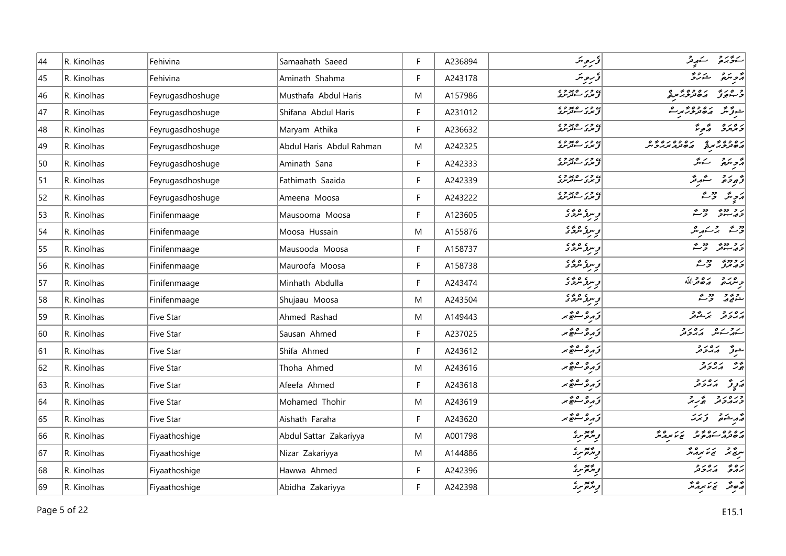| 44 | R. Kinolhas | Fehivina         | Samaahath Saeed          | F           | A236894 | ۇروپىر<br>مەم                          | سوپرو سوپر                                                  |
|----|-------------|------------------|--------------------------|-------------|---------|----------------------------------------|-------------------------------------------------------------|
| 45 | R. Kinolhas | Fehivina         | Aminath Shahma           | F           | A243178 | ء<br>قرىر جە ئىتر                      | أراد المستحرات والمحرج                                      |
| 46 | R. Kinolhas | Feyrugasdhoshuge | Musthafa Abdul Haris     | M           | A157986 | ، پر و ر ه پر و ،<br>د سر کستورنزی     | د ه ره د ده ده پر ه<br>د جون ماه ترورگران                   |
| 47 | R. Kinolhas | Feyrugasdhoshuge | Shifana Abdul Haris      | F           | A231012 | ده و ر _ ه مو و ء<br>قریمری سسوتس مر   | ره وه د مر ه<br>پره تربر <i>کر</i><br>ىشە تۇ ئىگر           |
| 48 | R. Kinolhas | Feyrugasdhoshuge | Maryam Athika            | F           | A236632 | دے ورصور و د<br>قریمری سستمبرمری       | ر ه ر ه<br><del>و</del> بربرو<br>رژه ژ                      |
| 49 | R. Kinolhas | Feyrugasdhoshuge | Abdul Haris Abdul Rahman | M           | A242325 | در و بر و د و د<br>تو بر د کستونرنزی   | ره وه په مهم ده وه ره په و<br>هام ترم ترم هم هم تر مر تر تر |
| 50 | R. Kinolhas | Feyrugasdhoshuge | Aminath Sana             | F           | A242333 | ده و ر . ه پو و ،<br>تو بوی سستمبروی   | ړې سرچه ځې سترسر                                            |
| 51 | R. Kinolhas | Feyrugasdhoshuge | Fathimath Saaida         | $\mathsf F$ | A242339 | ده و ر ره پو و د<br>تو بود سوترىرد     | ۇ بۇ ئەستىرلىگە                                             |
| 52 | R. Kinolhas | Feyrugasdhoshuge | Ameena Moosa             | F           | A243222 | دے ورصوری<br>قریمری سنگرمزی            | أربا الملح المحمد المستقر                                   |
| 53 | R. Kinolhas | Finifenmaage     | Mausooma Moosa           | F           | A123605 | ار سوءِ عدد ۽                          | د دره در ک                                                  |
| 54 | R. Kinolhas | Finifenmaage     | Moosa Hussain            | M           | A155876 | ار سرو مرد ؟<br>م                      | اژ شه پر شهر مثر                                            |
| 55 | R. Kinolhas | Finifenmaage     | Mausooda Moosa           | F           | A158737 | ر سرگە شر <sup>ى ي</sup>               | ر د ددې د دغ                                                |
| 56 | R. Kinolhas | Finifenmaage     | Mauroofa Moosa           | F           | A158738 | لو بىرى مىردى<br>كىرىدىگە              | ر و دور.<br>تر پرسرتر<br>د میشه                             |
| 57 | R. Kinolhas | Finifenmaage     | Minhath Abdulla          | $\mathsf F$ | A243474 | ار سرو عدد عدد ا                       | حسبكم كالهقرالله                                            |
| 58 | R. Kinolhas | Finifenmaage     | Shujaau Moosa            | M           | A243504 | ار سره مقر<br>په سره شرچ د             | دوم ده م                                                    |
| 59 | R. Kinolhas | <b>Five Star</b> | Ahmed Rashad             | M           | A149443 | ۇ برۇ شۇ ئىر                           | ره رو برگور<br>پرېدونر برخونر                               |
| 60 | R. Kinolhas | Five Star        | Sausan Ahmed             | F           | A237025 | ۇرۇشقۇر                                | سەرسىدى بەردىر                                              |
| 61 | R. Kinolhas | Five Star        | Shifa Ahmed              | F           | A243612 | ۇ برۇ شەھۇبر                           | خوتر - م پر د تر                                            |
| 62 | R. Kinolhas | Five Star        | Thoha Ahmed              | M           | A243616 | ۇرۇشقۇر                                | يوش برور و                                                  |
| 63 | R. Kinolhas | Five Star        | Afeefa Ahmed             | $\mathsf F$ | A243618 | ۇرۇشۇ ئە                               | پروژبر<br>ړ <sub>نو</sub> ژ                                 |
| 64 | R. Kinolhas | Five Star        | Mohamed Thohir           | M           | A243619 | ازره قسقع<br>-                         | ورەر د پرېژ                                                 |
| 65 | R. Kinolhas | Five Star        | Aishath Faraha           | F           | A243620 | ۇ برۇ شۇ ئىر                           | مەر خىلى ئى ئىرك                                            |
| 66 | R. Kinolhas | Fiyaathoshige    | Abdul Sattar Zakariyya   | M           | A001798 | و پژ <sub>یخ مرد</sub> ً               | נסכם נסמכ נגם מי                                            |
| 67 | R. Kinolhas | Fiyaathoshige    | Nizar Zakariyya          | M           | A144886 | و پر پر ہ<br>پر مربح سربر              | יתוב ב בל באת                                               |
| 68 | R. Kinolhas | Fiyaathoshige    | Hawwa Ahmed              | F           | A242396 | و پھر ہے<br>تر مرکب سر                 | برە پە<br>ەر دەر                                            |
| 69 | R. Kinolhas | Fiyaathoshige    | Abidha Zakariyya         | F           | A242398 | و پژ <sub>یخ مر</sub> با<br>تر پژه مرد | הם בצ' באת ה                                                |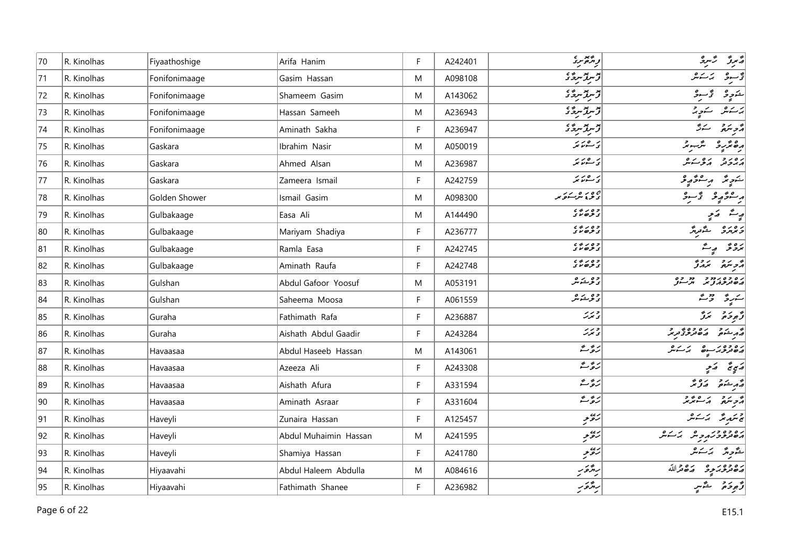| 70           | R. Kinolhas | Fiyaathoshige | Arifa Hanim           | F | A242401 | و پر پر<br>رگرچ مر <sub>ک</sub>     | ر مصر پر<br>ەتىرۇ                                                                 |
|--------------|-------------|---------------|-----------------------|---|---------|-------------------------------------|-----------------------------------------------------------------------------------|
| 71           | R. Kinolhas | Fonifonimaage | Gasim Hassan          | M | A098108 | ېز سرچ سرچ <sup>ي</sup>             | پ <sub>چ</sub> سەھ<br>برسەيىتىر                                                   |
| 72           | R. Kinolhas | Fonifonimaage | Shameem Gasim         | M | A143062 | دسمبر سرچ <sup>ج</sup>              | سچ سبور<br>ر<br>ڪو و                                                              |
| 73           | R. Kinolhas | Fonifonimaage | Hassan Sameeh         | M | A236943 | ىز سرتر سرچ <sup>ى</sup>            | ىز سەيىتىر<br>سەدىر                                                               |
| 74           | R. Kinolhas | Fonifonimaage | Aminath Sakha         | F | A236947 | بې <sub>سر</sub> تورځ <sub>ځ</sub>  | أأترسم<br>رىرچ                                                                    |
| 75           | R. Kinolhas | Gaskara       | Ibrahim Nasir         | M | A050019 | ىر ھەئەبىر                          | ەھ ئۈر ۋ<br>ىئرىبىدىر                                                             |
| 76           | R. Kinolhas | Gaskara       | Ahmed Alsan           | M | A236987 | ىر ھەئەبجە                          | גפנק גלגול                                                                        |
| 77           | R. Kinolhas | Gaskara       | Zameera Ismail        | F | A242759 | ر ھ.<br>ئەسىرىمىر                   | خوړ روځوړ                                                                         |
| 78           | R. Kinolhas | Golden Shower | Ismail Gasim          | M | A098300 | ە ە رەپەر<br>ئەمەنى مىرسۇم ئىر      | وستوفيو في و                                                                      |
| 79           | R. Kinolhas | Gulbakaage    | Easa Ali              | M | A144490 | وه رپر د<br>د <del>گر</del> ه مړ    | $\frac{2}{3}$<br>$\frac{2}{3}$<br>$\frac{2}{3}$<br>$\frac{2}{3}$<br>$\frac{2}{3}$ |
| 80           | R. Kinolhas | Gulbakaage    | Mariyam Shadiya       | F | A236777 | و ه ر پر پر<br>د <del>تر</del> ن مر | ے محمد ہو<br>مشاہد ہو                                                             |
| 81           | R. Kinolhas | Gulbakaage    | Ramla Easa            | F | A242745 | و ه ر پر پر<br>د نوه مړ             | وستم<br>رە ئە<br>ئىرى ئى                                                          |
| 82           | R. Kinolhas | Gulbakaage    | Aminath Raufa         | F | A242748 | و و ر د ء<br>د نوه ما د             | أأوسكة المرووم                                                                    |
| 83           | R. Kinolhas | Gulshan       | Abdul Gafoor Yoosuf   | M | A053191 | و و <sub>شک</sub> ر                 | גם כם גבב – כב כם<br>השישת באת באי ית                                             |
| 84           | R. Kinolhas | Gulshan       | Saheema Moosa         | F | A061559 | <sup>و و</sup> شتر ش                | سەرپە ئۇسە                                                                        |
| 85           | R. Kinolhas | Guraha        | Fathimath Rafa        | F | A236887 | ح مربر<br>مح <b>س</b> مربر          | وٌ و دو گرو                                                                       |
| 86           | R. Kinolhas | Guraha        | Aishath Abdul Gaadir  | F | A243284 | و بر بر<br>ئ                        | د در ده ده ده در د<br>مگرشوی مان مورد در مر                                       |
| 87           | R. Kinolhas | Havaasaa      | Abdul Haseeb Hassan   | M | A143061 | رۇشە                                | גם כסן הם הארבות                                                                  |
| 88           | R. Kinolhas | Havaasaa      | Azeeza Ali            | F | A243308 | ر پۇشە                              | أرسم تحجم أأتراحي                                                                 |
| 89           | R. Kinolhas | Havaasaa      | Aishath Afura         | F | A331594 | ر پۇشە                              | و دره ده و                                                                        |
| $ 90\rangle$ | R. Kinolhas | Havaasaa      | Aminath Asraar        | F | A331604 | رۇشە                                | הכיתם ה-2010                                                                      |
| 91           | R. Kinolhas | Haveyli       | Zunaira Hassan        | F | A125457 | ريمو                                | ىم ئىرىد كە ئەسكەش                                                                |
| 92           | R. Kinolhas | Haveyli       | Abdul Muhaimin Hassan | M | A241595 | ريمو                                | ג <sub>ם בפ</sub> כל גם גבות                                                      |
| 93           | R. Kinolhas | Haveyli       | Shamiya Hassan        | F | A241780 | رەيە<br>رەبىر                       | شَوِيرٌ يَا سَمَسْ                                                                |
| 94           | R. Kinolhas | Hiyaavahi     | Abdul Haleem Abdulla  | M | A084616 | رېژوَر                              | مقصر من الله                                                                      |
| 95           | R. Kinolhas | Hiyaavahi     | Fathimath Shanee      | F | A236982 | رېژۀ ر                              | ژودۇ شېر                                                                          |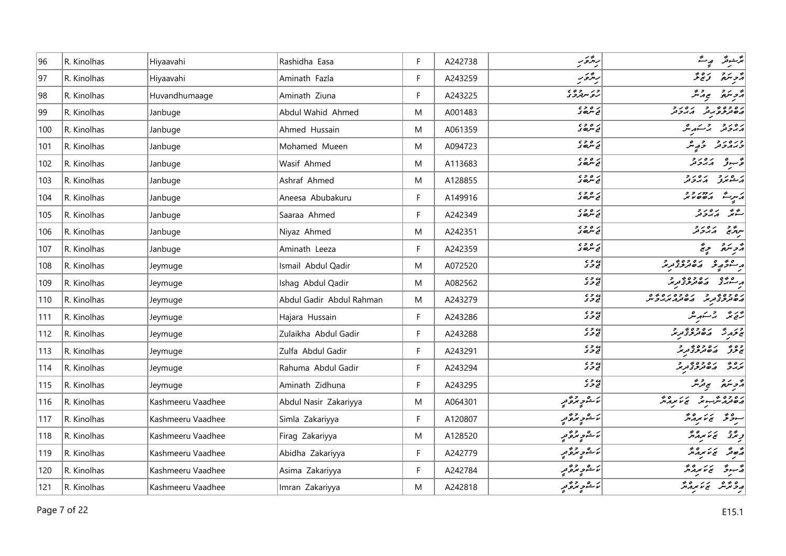| 96  | R. Kinolhas | Hiyaavahi         | Rashidha Easa            | F           | A242738 | ىرە پەترىپ                     |                                                                                        |
|-----|-------------|-------------------|--------------------------|-------------|---------|--------------------------------|----------------------------------------------------------------------------------------|
| 97  | R. Kinolhas | Hiyaavahi         | Aminath Fazla            | F           | A243259 | ىرە پەر                        | نگرېندنگر پوځلنگو<br>مگرچين کې کوي کې کالو                                             |
| 98  | R. Kinolhas | Huvandhumaage     | Aminath Ziuna            | F           | A243225 | و ر<br>ره سربرو د              | أزويته بمارش                                                                           |
| 99  | R. Kinolhas | Janbuge           | Abdul Wahid Ahmed        | M           | A001483 | ر ۵ ۶ ء<br>قع سرچ <sub>ک</sub> | ג 2000 - 2000 ב<br>הפינגפליניה הייכית                                                  |
| 100 | R. Kinolhas | Janbuge           | Ahmed Hussain            | M           | A061359 | ر ۵ و ٤<br>قع سر <i>ه ی</i>    | ره د د د مرکز مرکز<br>امریز د مرکز مرکز                                                |
| 101 | R. Kinolhas | Janbuge           | Mohamed Mueen            | M           | A094723 | ر ۵ و ٤<br>قع سرچه ی           | ورەر دەپر                                                                              |
| 102 | R. Kinolhas | Janbuge           | Wasif Ahmed              | M           | A113683 | ر د د ء<br>تع سرچ <sub>ک</sub> | ۇجۇ مەددىر                                                                             |
| 103 | R. Kinolhas | Janbuge           | Ashraf Ahmed             | M           | A128855 | ر ۵ و ٤<br>قع سرچه ی           | ر ۲۵۰۵ بره د و                                                                         |
| 104 | R. Kinolhas | Janbuge           | Aneesa Abubakuru         | F.          | A149916 | ر ۵ ۶ ء<br>قع سر <i>ھ ی</i>    | $7.7777$<br>x v © © N<br> پرسریے                                                       |
| 105 | R. Kinolhas | Janbuge           | Saaraa Ahmed             | F.          | A242349 | ر و و ء<br>قع سرچ <sub>ک</sub> | رويز درور                                                                              |
| 106 | R. Kinolhas | Janbuge           | Niyaz Ahmed              | M           | A242351 | ر ۵ و ۶<br>قع سر <i>ه ی</i>    | سروشح<br>بر 2 ر ح<br>م <i>ر</i> بر <del>و</del> تر                                     |
| 107 | R. Kinolhas | Janbuge           | Aminath Leeza            | F           | A242359 | ر ۵ و ٤<br>قع سرچه ی           | ومحر المستحقق المحيض                                                                   |
| 108 | R. Kinolhas | Jeymuge           | Ismail Abdul Qadir       | M           | A072520 | ړے و پر<br>مخ <b>ر</b> حر      | ر صور و در دوره در د<br>مرسوم در در مورد در د                                          |
| 109 | R. Kinolhas | Jeymuge           | Ishaq Abdul Qadir        | M           | A082562 | ړ، و ع<br>قع تر تر             | و مشتری در دوره در د                                                                   |
| 110 | R. Kinolhas | Jeymuge           | Abdul Gadir Abdul Rahman | M           | A243279 | ړ، و ع<br>قع تر <sub>ک</sub>   | ر ٥ د ٥ د م . د ٥ د <del>٥ د ٥ د ٥ د ٥</del><br>مان مورو تورير مان مان مان مان مورو مس |
| 111 | R. Kinolhas | Jeymuge           | Hajara Hussain           | $\mathsf F$ | A243286 | ړ، و ع<br>قع تر <sub>ک</sub>   | موسيق بر شهر مثر                                                                       |
| 112 | R. Kinolhas | Jeymuge           | Zulaikha Abdul Gadir     | F.          | A243288 | ړ، و ع<br>قع تر <sub>ک</sub>   |                                                                                        |
| 113 | R. Kinolhas | Jeymuge           | Zulfa Abdul Gadir        | $\mathsf F$ | A243291 | ړ، و ع<br>قع تر <sub>ک</sub>   | وه و ده وه د بر د<br>محرق مان مورد توس                                                 |
| 114 | R. Kinolhas | Jeymuge           | Rahuma Abdul Gadir       | F           | A243294 | ړ، و ،<br>قع تر ک              | رە ئەرەپەر تەر                                                                         |
| 115 | R. Kinolhas | Jeymuge           | Aminath Zidhuna          | F           | A243295 | پے و ن<br>  فع و ن             | وحريتكم بموقرينك                                                                       |
| 116 | R. Kinolhas | Kashmeeru Vaadhee | Abdul Nasir Zakariyya    | M           | A064301 | مَ ۖ شُعْرٍ مِّرْءٌ مِرِ       |                                                                                        |
| 117 | R. Kinolhas | Kashmeeru Vaadhee | Simla Zakariyya          | F           | A120807 | <br>  با شوچ برگویر            | תכל שיתחת                                                                              |
| 118 | R. Kinolhas | Kashmeeru Vaadhee | Firag Zakariyya          | M           | A128520 | يَدْ شَعْرٍ مِرْءً مَدٍ        | رِ پُرُوْ بِمَا بِرِ مِنْ                                                              |
| 119 | R. Kinolhas | Kashmeeru Vaadhee | Abidha Zakariyya         | F.          | A242779 | ئەشقۇ ئىرقە تىر                | הם בי שיתחת                                                                            |
| 120 | R. Kinolhas | Kashmeeru Vaadhee | Asima Zakariyya          | $\mathsf F$ | A242784 | يَدْ شَعْرٍ مِرْءً مَدِ        | أقسبرق تماميهم                                                                         |
| 121 | R. Kinolhas | Kashmeeru Vaadhee | Imran Zakariyya          | M           | A242818 | <br>  با ڪوچ برگور             | פיציית המתפית                                                                          |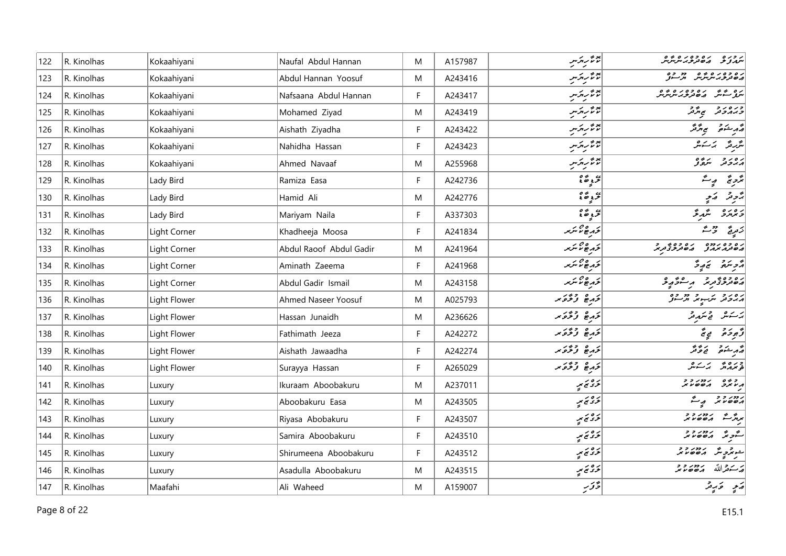| 122 | R. Kinolhas | Kokaahiyani  | Naufal Abdul Hannan        | M           | A157987 | لتمتم سر يزيبر                                                                                                                                                                                                                                      | ره وه ره ده.<br>پره تربر سرس<br>ىئەترىۋ                                     |
|-----|-------------|--------------|----------------------------|-------------|---------|-----------------------------------------------------------------------------------------------------------------------------------------------------------------------------------------------------------------------------------------------------|-----------------------------------------------------------------------------|
| 123 | R. Kinolhas | Kokaahiyani  | Abdul Hannan Yoosuf        | M           | A243416 | لتمتم سر يزمىر                                                                                                                                                                                                                                      | دد وه<br>در سوو<br>ر ه و ه د ه رو .<br>پرې تربر سرسرس                       |
| 124 | R. Kinolhas | Kokaahiyani  | Nafsaana Abdul Hannan      | F           | A243417 | تزنڈ سر پیکسیہ                                                                                                                                                                                                                                      | ره شه ده ده ده ده<br>سرو شهر می موجد سرس                                    |
| 125 | R. Kinolhas | Kokaahiyani  | Mohamed Ziyad              | M           | A243419 | لتمتم سر يزمىر                                                                                                                                                                                                                                      | כנסנכ<br>כגובבת החבר                                                        |
| 126 | R. Kinolhas | Kokaahiyani  | Aishath Ziyadha            | F.          | A243422 | # ئەسەر ئەسەر                                                                                                                                                                                                                                       | و د شرح مح تر د کر<br>م                                                     |
| 127 | R. Kinolhas | Kokaahiyani  | Nahidha Hassan             | F           | A243423 | ىيز ئەر بەر<br>باش ئەر بىر بىر                                                                                                                                                                                                                      | لتربرقر الاستانتر                                                           |
| 128 | R. Kinolhas | Kokaahiyani  | Ahmed Navaaf               | M           | A255968 | ليعتمر يئرسه                                                                                                                                                                                                                                        | ره رو دره                                                                   |
| 129 | R. Kinolhas | Lady Bird    | Ramiza Easa                | F           | A242736 | $\begin{array}{c} \circ \underset{\mathbf{z}}{\circ} \\ \mathbf{z} \circ \underset{\mathbf{z}}{\circ} \end{array}$                                                                                                                                  | پر <sub>ونج و</sub> ت                                                       |
| 130 | R. Kinolhas | Lady Bird    | Hamid Ali                  | M           | A242776 | $\frac{1}{2}$                                                                                                                                                                                                                                       | يُروِرُ الْمَيْ                                                             |
| 131 | R. Kinolhas | Lady Bird    | Mariyam Naila              | F           | A337303 | $\begin{bmatrix} 0 & \stackrel{\prime}{\sim} & \stackrel{\prime}{\sim} \\ \stackrel{\prime}{\sim} & \stackrel{\prime}{\sim} & \stackrel{\prime}{\sim} \\ \stackrel{\prime}{\sim} & \stackrel{\prime}{\sim} & \stackrel{\prime}{\sim} \end{bmatrix}$ | وبرده<br>ىئىر قر                                                            |
| 132 | R. Kinolhas | Light Corner | Khadheeja Moosa            | F           | A241834 | <br>  در ۱۳۵۵ مربر                                                                                                                                                                                                                                  | زَمِيعٌ رَحْمَدٌ                                                            |
| 133 | R. Kinolhas | Light Corner | Abdul Raoof Abdul Gadir    | M           | A241964 | الخدرة متكته                                                                                                                                                                                                                                        | ر ه د ه ر دده<br>پره تربر تربر تر<br>ر ٥ <i>٥٥٥ و.</i><br>در کاترنوتو تورنر |
| 134 | R. Kinolhas | Light Corner | Aminath Zaeema             | F.          | A241968 | أخروهم تئربه                                                                                                                                                                                                                                        | أأدبتكم بماراة                                                              |
| 135 | R. Kinolhas | Light Corner | Abdul Gadir Ismail         | M           | A243158 | أقهره عثوبه                                                                                                                                                                                                                                         | קסכס ביתי הקייבת בי                                                         |
| 136 | R. Kinolhas | Light Flower | <b>Ahmed Naseer Yoosuf</b> | M           | A025793 | فررء زؤلاند                                                                                                                                                                                                                                         | גפגב <sub>י</sub> יהוד ברבית                                                |
| 137 | R. Kinolhas | Light Flower | Hassan Junaidh             | M           | A236626 | خەرىق تۇغۇير                                                                                                                                                                                                                                        | برسك في سرمر فر                                                             |
| 138 | R. Kinolhas | Light Flower | Fathimath Jeeza            | F.          | A242272 | كجرمي وتخفير                                                                                                                                                                                                                                        | أَدَّجْ حَمَّ مِيَّ حَمَّ                                                   |
| 139 | R. Kinolhas | Light Flower | Aishath Jawaadha           | F           | A242274 | تزريح ترتزقاند                                                                                                                                                                                                                                      | وكرمشكم فيحافر                                                              |
| 140 | R. Kinolhas | Light Flower | Surayya Hassan             | F           | A265029 | فررء زؤلاند                                                                                                                                                                                                                                         | ۋىرە ئەسكىر                                                                 |
| 141 | R. Kinolhas | Luxury       | Ikuraam Aboobakuru         | M           | A237011 | ر ۔<br> نوی پی سپ                                                                                                                                                                                                                                   | 77/77/<br>برىدىچە                                                           |
| 142 | R. Kinolhas | Luxury       | Aboobakuru Easa            | M           | A243505 | تره تر سپر<br>مرد شخ                                                                                                                                                                                                                                |                                                                             |
| 143 | R. Kinolhas | Luxury       | Riyasa Abobakuru           | F           | A243507 | تره تر سپر<br>مرد شخ                                                                                                                                                                                                                                | 77/77/7<br>بردشر مشر                                                        |
| 144 | R. Kinolhas | Luxury       | Samira Aboobakuru          | F           | A243510 | پره پر<br>  پرې نمې                                                                                                                                                                                                                                 | شەرىپى<br>77/77/7                                                           |
| 145 | R. Kinolhas | Luxury       | Shirumeena Aboobakuru      | $\mathsf F$ | A243512 | ر ہ ر<br>مور ہے <sub>می</sub> ر                                                                                                                                                                                                                     | 221331<br>KVOON<br>اھومر <sub>چو</sub> مگر<br>پ                             |
| 146 | R. Kinolhas | Luxury       | Asadulla Aboobakuru        | M           | A243515 | تره تر سپر<br>مرد شخ                                                                                                                                                                                                                                | مەسەقراللە<br>77777                                                         |
| 147 | R. Kinolhas | Maafahi      | Ali Waheed                 | M           | A159007 | 3تر ر                                                                                                                                                                                                                                               | أة يحمي تحريثه                                                              |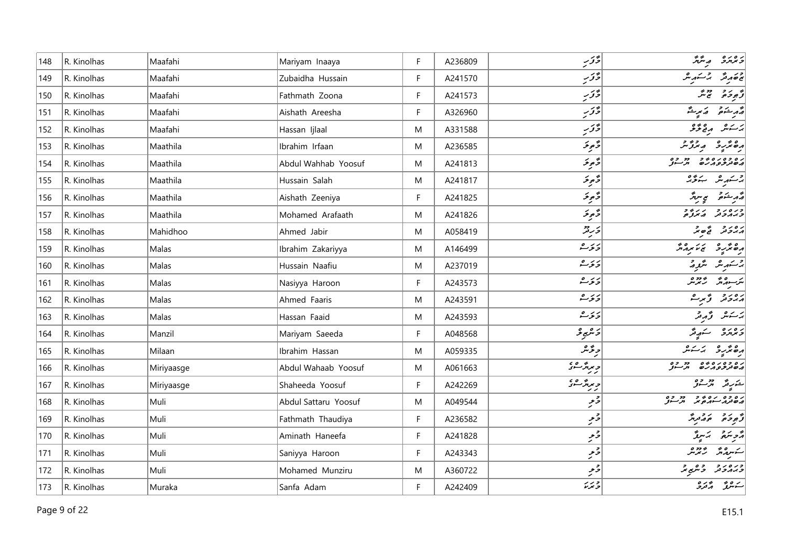| 148 | R. Kinolhas | Maafahi    | Mariyam Inaaya       | F           | A236809 | راستن سر             |                                                     |
|-----|-------------|------------|----------------------|-------------|---------|----------------------|-----------------------------------------------------|
| 149 | R. Kinolhas | Maafahi    | Zubaidha Hussain     | F           | A241570 | خرتوسر               |                                                     |
| 150 | R. Kinolhas | Maafahi    | Fathmath Zoona       | F.          | A241573 | 33 س                 |                                                     |
| 151 | R. Kinolhas | Maafahi    | Aishath Areesha      | F           | A326960 | 33 س                 | ەر شەرقى ئەر شۇ<br>ئەسكەش ئەرقى ئۇ                  |
| 152 | R. Kinolhas | Maafahi    | Hassan Ijlaal        | M           | A331588 | 33 س                 |                                                     |
| 153 | R. Kinolhas | Maathila   | Ibrahim Irfaan       | M           | A236585 | قرموخر               | رەنزىر مەززىر                                       |
| 154 | R. Kinolhas | Maathila   | Abdul Wahhab Yoosuf  | M           | A241813 | ۇ ھ <sub>ۇ</sub> ئە  | נ ס כ ס ג ס שי כב כ ס<br>הם <i>ב קיב פ ה ג</i> שי כ |
| 155 | R. Kinolhas | Maathila   | Hussain Salah        | M           | A241817 | ۇ <sub>م</sub> ۇ     |                                                     |
| 156 | R. Kinolhas | Maathila   | Aishath Zeeniya      | F           | A241825 | قرموځه               |                                                     |
| 157 | R. Kinolhas | Maathila   | Mohamed Arafaath     | M           | A241826 | ځوبځه                | כנסנכ גנשב<br>כגמכת הבצפ                            |
| 158 | R. Kinolhas | Mahidhoo   | Ahmed Jabir          | M           | A058419 | ځ رقتر               | رەرد قەھ                                            |
| 159 | R. Kinolhas | Malas      | Ibrahim Zakariyya    | M           | A146499 | ئەترىشە              | גפת כ גיעת ה                                        |
| 160 | R. Kinolhas | Malas      | Hussain Naafiu       | M           | A237019 | ىزىمى                | رُسكر من منتورة                                     |
| 161 | R. Kinolhas | Malas      | Nasiyya Haroon       | F           | A243573 | ىز ئە                |                                                     |
| 162 | R. Kinolhas | Malas      | Ahmed Faaris         | M           | A243591 | ىز ئە                | أرەر بۇ ئۇر ھ                                       |
| 163 | R. Kinolhas | Malas      | Hassan Faaid         | M           | A243593 | ىزىمى                | يز سەش ئۇمەتتر                                      |
| 164 | R. Kinolhas | Manzil     | Mariyam Saeeda       | F.          | A048568 | ئەنگە بۇ             | دەرە سەرقە                                          |
| 165 | R. Kinolhas | Milaan     | Ibrahim Hassan       | M           | A059335 | لجرمحه شر            |                                                     |
| 166 | R. Kinolhas | Miriyaasge | Abdul Wahaab Yoosuf  | M           | A061663 | دېمروگړي<br>  د سروگ | ره وه ره ده ه دو وه<br>پره تر تر ورسو               |
| 167 | R. Kinolhas | Miriyaasge | Shaheeda Yoosuf      | F           | A242269 | $rac{1}{s^2}$        | ڪرپر هر دو                                          |
| 168 | R. Kinolhas | Muli       | Abdul Sattaru Yoosuf | M           | A049544 | و<br>وم              | נסכם נסיב כבכם<br>השנה המיביג תי-ת                  |
| 169 | R. Kinolhas | Muli       | Fathmath Thaudiya    | $\mathsf F$ | A236582 | ومحر                 | ترجوحا والمرمر                                      |
| 170 | R. Kinolhas | Muli       | Aminath Haneefa      | F           | A241828 | ومحر                 |                                                     |
| 171 | R. Kinolhas | Muli       | Saniyya Haroon       | F           | A243343 | ومحر                 |                                                     |
| 172 | R. Kinolhas | Muli       | Mohamed Munziru      | M           | A360722 | ومحر                 | ورەرو وەپر                                          |
| 173 | R. Kinolhas | Muraka     | Sanfa Adam           | F           | A242409 | ويرر                 | سەمبۇ ئەترە                                         |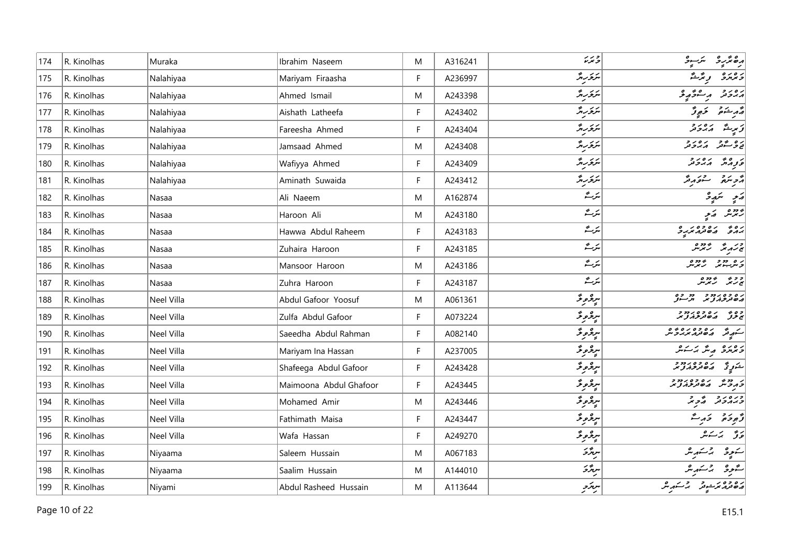| 174 | R. Kinolhas | Muraka     | Ibrahim Naseem         | M           | A316241 | ويرئه                       | رەپزىر<br>ىئرسەۋ                                                  |
|-----|-------------|------------|------------------------|-------------|---------|-----------------------------|-------------------------------------------------------------------|
| 175 | R. Kinolhas | Nalahiyaa  | Mariyam Firaasha       | E           | A236997 | لتزبزرهم                    | ر ه ر ه<br>د بر در<br>وبرَّثَہ                                    |
| 176 | R. Kinolhas | Nalahiyaa  | Ahmed Ismail           | M           | A243398 | يترىخرىدىخر                 | پره پر و<br>برىشۇرپۇ                                              |
| 177 | R. Kinolhas | Nalahiyaa  | Aishath Latheefa       | F           | A243402 | يئر پخرېد پېژ               | پ <sup>و</sup> پر شوې<br>په کل<br>خبجوتر                          |
| 178 | R. Kinolhas | Nalahiyaa  | Fareesha Ahmed         | F.          | A243404 | لتزخر بثر                   | أقرسي أيرورد                                                      |
| 179 | R. Kinolhas | Nalahiyaa  | Jamsaad Ahmed          | M           | A243408 | يئر پخرېد پېژ               | ده د به در در د                                                   |
| 180 | R. Kinolhas | Nalahiyaa  | Wafiyya Ahmed          | F           | A243409 | يترىخرىدىخر                 | פֿנָמית גַפּיב                                                    |
| 181 | R. Kinolhas | Nalahiyaa  | Aminath Suwaida        | F           | A243412 | ىر ئەرەر<br>م               |                                                                   |
| 182 | R. Kinolhas | Nasaa      | Ali Naeem              | M           | A162874 | ىئەپ                        | ەير سەرد                                                          |
| 183 | R. Kinolhas | Nasaa      | Haroon Ali             | M           | A243180 | ىئەت                        | لحوده<br>ەئىر                                                     |
| 184 | R. Kinolhas | Nasaa      | Hawwa Abdul Raheem     | F           | A243183 | ىئەيەتىگە                   |                                                                   |
| 185 | R. Kinolhas | Nasaa      | Zuhaira Haroon         | F           | A243185 | ىئەت                        | یږ ده ه<br>رنگورنگر<br>ى ئەمرىتىر                                 |
| 186 | R. Kinolhas | Nasaa      | Mansoor Haroon         | M           | A243186 | ىئەت                        | ر ه دو د<br>تر سر بندس<br>یر دو ه<br>رنجو پس                      |
| 187 | R. Kinolhas | Nasaa      | Zuhra Haroon           | $\mathsf F$ | A243187 | ىئەرىشە                     | و و به په ووه<br>بح <i>ر بن</i> ر سر                              |
| 188 | R. Kinolhas | Neel Villa | Abdul Gafoor Yoosuf    | M           | A061361 | سرچوځه                      | נס כסנכב ככב כם<br>השיט <i>בה צ</i> י ת—ני                        |
| 189 | R. Kinolhas | Neel Villa | Zulfa Abdul Gafoor     | F           | A073224 | ىبرىۋىرگە<br>ئ <sup>ە</sup> | ر ه و ه ر دو و<br>پره تر پر تر بر<br>۶ ه ۶<br>بح <del>گر</del> گر |
| 190 | R. Kinolhas | Neel Villa | Saeedha Abdul Rahman   | F.          | A082140 | سرچرېڅر                     | سور ده ده ده ده ده و                                              |
| 191 | R. Kinolhas | Neel Villa | Mariyam Ina Hassan     | $\mathsf F$ | A237005 | سرچوځه                      | د وړو په پرځمنگر                                                  |
| 192 | R. Kinolhas | Neel Villa | Shafeega Abdul Gafoor  | F           | A243428 | ىبرىۋىرگە<br>ئ <sup>ە</sup> | ر ه و ه د دو و<br>پره تر پر تر بر<br>ڪورِ گ                       |
| 193 | R. Kinolhas | Neel Villa | Maimoona Abdul Ghafoor | F           | A243445 | سرچە ئ <sup>ۇ</sup>         | י מי המיניים<br>כתבית השיניבת בי                                  |
| 194 | R. Kinolhas | Neel Villa | Mohamed Amir           | M           | A243446 | سرچرېڅر                     | 2 2 21012                                                         |
| 195 | R. Kinolhas | Neel Villa | Fathimath Maisa        | F           | A243447 | سرچرېڅر                     | ژوده درگ                                                          |
| 196 | R. Kinolhas | Neel Villa | Wafa Hassan            | F           | A249270 | سرچە ئەگە<br>ئ              | ۇتۇ بەسكىلە                                                       |
| 197 | R. Kinolhas | Niyaama    | Saleem Hussain         | M           | A067183 | سرپر                        | سكوفى المسكر مثر                                                  |
| 198 | R. Kinolhas | Niyaama    | Saalim Hussain         | M           | A144010 | سرمزځ                       | ستمور<br>ترىسىمبە                                                 |
| 199 | R. Kinolhas | Niyami     | Abdul Rasheed Hussain  | M           | A113644 | سرمرتر                      | ره وه رکنده در دکتر مگر<br>پره ترپر تر شوتر در سکور مگر           |
|     |             |            |                        |             |         |                             |                                                                   |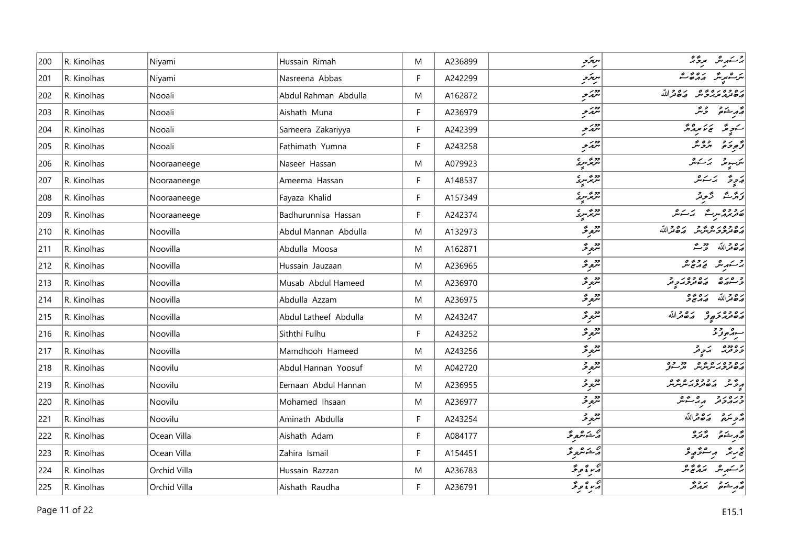| 200 | R. Kinolhas | Niyami       | Hussain Rimah         | M           | A236899 | سریز تر                 | چرىسكىرىگە ئىردىكە<br>ئەسكىرىگە ئەرەپى<br>ئىرسكىرىگە ئەمەھەم |
|-----|-------------|--------------|-----------------------|-------------|---------|-------------------------|--------------------------------------------------------------|
| 201 | R. Kinolhas | Niyami       | Nasreena Abbas        | F           | A242299 | سرمركر                  |                                                              |
| 202 | R. Kinolhas | Nooali       | Abdul Rahman Abdulla  | M           | A162872 | يتدمر                   | ره وه بره ده مردم و الله                                     |
| 203 | R. Kinolhas | Nooali       | Aishath Muna          | F.          | A236979 | انترمز                  | أمام يشمش ومثر                                               |
| 204 | R. Kinolhas | Nooali       | Sameera Zakariyya     | $\mathsf F$ | A242399 | يتمدّمه                 | سكويتى تمايرون                                               |
| 205 | R. Kinolhas | Nooali       | Fathimath Yumna       | $\mathsf F$ | A243258 | يتدمر                   | و ده ده پر                                                   |
| 206 | R. Kinolhas | Nooraaneege  | Naseer Hassan         | M           | A079923 | دوره برد.<br>مرتكز بريد | لترسولا الكاشكر                                              |
| 207 | R. Kinolhas | Nooraaneege  | Ameema Hassan         | F           | A148537 | دو پر<br>سربر سرپر      | ړېږ پرېند                                                    |
| 208 | R. Kinolhas | Nooraaneege  | Fayaza Khalid         | F           | A157349 | بىز ئەسرى<br>سرىئەسرى   | وَيَرْتَ رَّحِومُ                                            |
| 209 | R. Kinolhas | Nooraaneege  | Badhurunnisa Hassan   | F           | A242374 | دو پر<br>سربر سرپر      | رووه برگ برگیر                                               |
| 210 | R. Kinolhas | Noovilla     | Abdul Mannan Abdulla  | M           | A132973 | يترهر محر               | رە دەر ە برە برە داللە                                       |
| 211 | R. Kinolhas | Noovilla     | Abdulla Moosa         | M           | A162871 | بتر <sub>عر</sub> مَّهُ | مَدْهُ قَمْرَاللّه حَقْ مَ                                   |
| 212 | R. Kinolhas | Noovilla     | Hussain Jauzaan       | M           | A236965 | يترعر محر               | جرسكمر شريح وجميح                                            |
| 213 | R. Kinolhas | Noovilla     | Musab Abdul Hameed    | M           | A236970 | لترهر محر               | 3 7070 10707<br>3 مسوچ می می مورد بر ح                       |
| 214 | R. Kinolhas | Noovilla     | Abdulla Azzam         | M           | A236975 | يترهر محر               | مَصْعَراللَّهُ مَهْرَ مِنْ وَ                                |
| 215 | R. Kinolhas | Noovilla     | Abdul Latheef Abdulla | M           | A243247 | لترعر محر               | بره وحرم و بره مراته                                         |
| 216 | R. Kinolhas | Noovilla     | Siththi Fulhu         | F.          | A243252 | يتر <sub>عر</sub> تخه   |                                                              |
| 217 | R. Kinolhas | Noovilla     | Mamdhooh Hameed       | M           | A243256 | يتر <sub>عر</sub> تخه   |                                                              |
| 218 | R. Kinolhas | Noovilu      | Abdul Hannan Yoosuf   | M           | A042720 | يتروخه                  | ره وه ره ده معروه وه<br>پره تر تر بر سرس مرسو                |
| 219 | R. Kinolhas | Noovilu      | Eemaan Abdul Hannan   | M           | A236955 | يترعر فحر               | به د د د ده د ه په و.<br>مرگ سي مصر د پرس                    |
| 220 | R. Kinolhas | Noovilu      | Mohamed Ihsaan        | M           | A236977 | يتروخه                  | ورەرو مەك ھ                                                  |
| 221 | R. Kinolhas | Noovilu      | Aminath Abdulla       | F           | A243254 | يترعر فحر               | وحريدة وكالتقاقية                                            |
| 222 | R. Kinolhas | Ocean Villa  | Aishath Adam          | $\mathsf F$ | A084177 | لأخوشوقر                |                                                              |
| 223 | R. Kinolhas | Ocean Villa  | Zahira Ismail         | F           | A154451 | ە ئەئەمىرىدىگە<br>م     | ة ربة وعقود                                                  |
| 224 | R. Kinolhas | Orchid Villa | Hussain Razzan        | M           | A236783 | ەر بە ئوقر              | 2000 - 2000 E                                                |
| 225 | R. Kinolhas | Orchid Villa | Aishath Raudha        | F.          | A236791 | ەر بە ئوقر              | و المستوفي المروم                                            |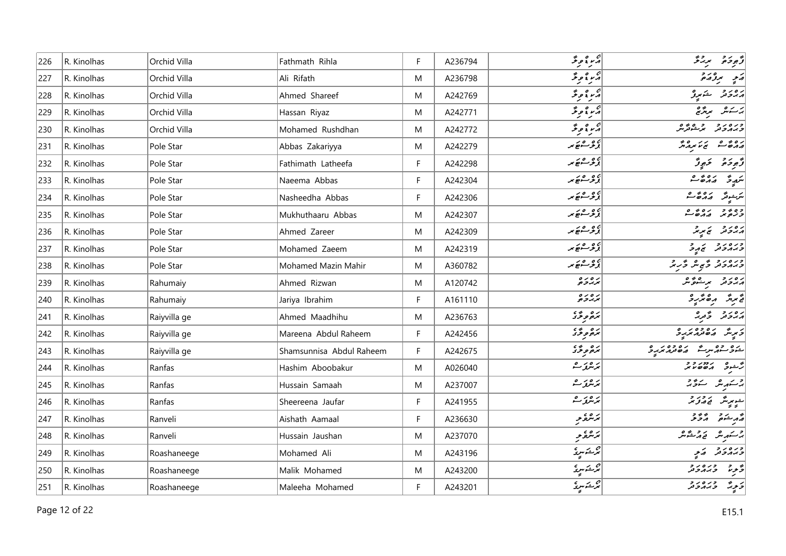| 226 | R. Kinolhas | Orchid Villa | Fathmath Rihla           | F  | A236794 | ەر بە دېچە<br>كىسىمبىيە                 | $\frac{2}{3}$ $\frac{2}{3}$ $\frac{2}{3}$                                      |
|-----|-------------|--------------|--------------------------|----|---------|-----------------------------------------|--------------------------------------------------------------------------------|
| 227 | R. Kinolhas | Orchid Villa | Ali Rifath               | M  | A236798 | ەر بە <sub>ئا</sub> رتى<br>م            |                                                                                |
| 228 | R. Kinolhas | Orchid Villa | Ahmed Shareef            | M  | A242769 | وسيقوقه                                 | رەرد شىرۇ                                                                      |
| 229 | R. Kinolhas | Orchid Villa | Hassan Riyaz             | M  | A242771 | ەر بە ئوقر                              | يركسكر المرتزع                                                                 |
| 230 | R. Kinolhas | Orchid Villa | Mohamed Rushdhan         | M  | A242772 | لأبرء وقر                               | وره رو وه وه.<br><i>و بر دو د</i> برڅونرس                                      |
| 231 | R. Kinolhas | Pole Star    | Abbas Zakariyya          | M  | A242279 | پۇر ش <sub>ەتق</sub> بىر                | LOS SURVES                                                                     |
| 232 | R. Kinolhas | Pole Star    | Fathimath Latheefa       | F  | A242298 | ې د <sup>0</sup> د ځایمه                | رًّمُوحَمْ - حَمِورٌ                                                           |
| 233 | R. Kinolhas | Pole Star    | Naeema Abbas             | F  | A242304 | پۇر ھ <sub>ى</sub> جە<br>  بۇ بۇر شەھ   | $\begin{array}{cc} \circ & \circ & \circ \\ \circ & \circ & \circ \end{array}$ |
| 234 | R. Kinolhas | Pole Star    | Nasheedha Abbas          | F. | A242306 | <sup>2</sup> ء ص                        | أَسْرَسُوتَرٌ وَرُوصٌ و                                                        |
| 235 | R. Kinolhas | Pole Star    | Mukhuthaaru Abbas        | M  | A242307 | ءو ھ يہ                                 | وه ده بره ده م                                                                 |
| 236 | R. Kinolhas | Pole Star    | Ahmed Zareer             | M  | A242309 | <sup>0</sup> ء صديح پر                  | د ۱۵ د حرم کم کم مورمر                                                         |
| 237 | R. Kinolhas | Pole Star    | Mohamed Zaeem            | M  | A242319 | ءو رہ<br> بوعرے تی <i>م</i> یر          | פנים ניבי ניבי ב                                                               |
| 238 | R. Kinolhas | Pole Star    | Mohamed Mazin Mahir      | M  | A360782 | ې و ره <sub>ک</sub> ې پر                | ورەرو ۇي ئۇرگە                                                                 |
| 239 | R. Kinolhas | Rahumaiy     | Ahmed Rizwan             | M  | A120742 | ر ه ر ه<br>مربر <del>د</del> م          | رەرە برىشۇش                                                                    |
| 240 | R. Kinolhas | Rahumaiy     | Jariya Ibrahim           | F  | A161110 | ر ه ر ه<br>مربر <del>د</del> م          | في بروز و محرير و                                                              |
| 241 | R. Kinolhas | Raiyvilla ge | Ahmed Maadhihu           | M  | A236763 | ره<br>بر <sub>هو</sub> و ژ <sub>ک</sub> | دەر د ئەرر                                                                     |
| 242 | R. Kinolhas | Raiyvilla ge | Mareena Abdul Raheem     | F  | A242456 | ىرە ھەتتى<br>ئىزەھ ھەتتى                | د پرسر ره ده پر ه                                                              |
| 243 | R. Kinolhas | Raiyvilla ge | Shamsunnisa Abdul Raheem | F  | A242675 | ره<br>بر <sub>گ</sub> ورځ د             |                                                                                |
| 244 | R. Kinolhas | Ranfas       | Hashim Aboobakur         | M  | A026040 | ىر شرىر شە                              | 77/77/7<br>ارٌحورٌ                                                             |
| 245 | R. Kinolhas | Ranfas       | Hussain Samaah           | M  | A237007 | برەپر مە                                | چە ئەر ئىر ئە                                                                  |
| 246 | R. Kinolhas | Ranfas       | Sheereena Jaufar         | F  | A241955 | ىر ھ <sub>ى</sub> ز م                   | شەمرىگر ئەم <i>كى</i><br>ئەم بىر                                               |
| 247 | R. Kinolhas | Ranveli      | Aishath Aamaal           | F  | A236630 | برەء                                    | أشهر شود والمحافر                                                              |
| 248 | R. Kinolhas | Ranveli      | Hussain Jaushan          | M  | A237070 | ابرمقوم                                 | برسكر مركز ويحاشر                                                              |
| 249 | R. Kinolhas | Roashaneege  | Mohamed Ali              | M  | A243196 | لتريئة سرءكم                            | وره دو کرم                                                                     |
| 250 | R. Kinolhas | Roashaneege  | Malik Mohamed            | M  | A243200 | ترىشەسرىگە                              | و رە ر د<br><i>د بە</i> پەر<br>  د عريز                                        |
| 251 | R. Kinolhas | Roashaneege  | Maleeha Mohamed          | F. | A243201 | ترڪسري                                  | كرمير ورەرد                                                                    |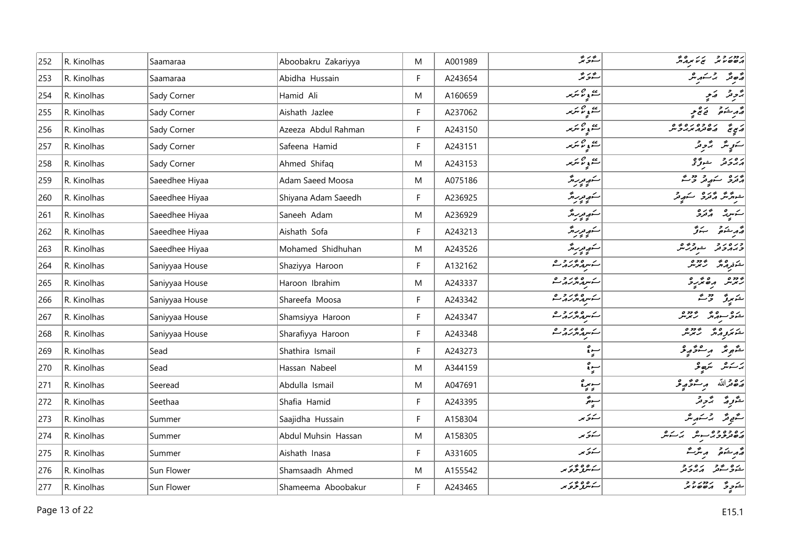| 252 | R. Kinolhas | Saamaraa       | Aboobakru Zakariyya | M           | A001989 | سترتز                                                      | 10 11 11 11001                                    |
|-----|-------------|----------------|---------------------|-------------|---------|------------------------------------------------------------|---------------------------------------------------|
| 253 | R. Kinolhas | Saamaraa       | Abidha Hussain      | F           | A243654 | شۇ ئە                                                      | أوه قد من المسكر مثل                              |
| 254 | R. Kinolhas | Sady Corner    | Hamid Ali           | M           | A160659 | عنده جي مئر بير<br>سنڌ ۽ مئ                                | يروثر الأمر                                       |
| 255 | R. Kinolhas | Sady Corner    | Aishath Jazlee      | $\mathsf F$ | A237062 | مىسى مەكتەبىر<br>سىسىم مىكرىمىر                            |                                                   |
| 256 | R. Kinolhas | Sady Corner    | Azeeza Abdul Rahman | $\mathsf F$ | A243150 | يحوية متزبير                                               | 2201020101                                        |
| 257 | R. Kinolhas | Sady Corner    | Safeena Hamid       | $\mathsf F$ | A243151 | عنده جي مئر پر<br>سنڌ ۽ مئ                                 | سەرپىتى بۇرۇر                                     |
| 258 | R. Kinolhas | Sady Corner    | Ahmed Shifaq        | M           | A243153 | مىسى مەكتەبىر<br>سىنجە ئىكتىبىر                            | ره ر <del>ه</del> شورٌ و<br>مرکز مشورٌ و          |
| 259 | R. Kinolhas | Saeedhee Hiyaa | Adam Saeed Moosa    | M           | A075186 | ڪھ جرب پڙ<br>شڪ                                            | أأروه التنهاية وحميث                              |
| 260 | R. Kinolhas | Saeedhee Hiyaa | Shiyana Adam Saeedh | F.          | A236925 | سە پە بەر بەر<br>ئەسىمە بەر بەر                            | شوره ته دره مردم در د                             |
| 261 | R. Kinolhas | Saeedhee Hiyaa | Saneeh Adam         | M           | A236929 | ڪھ تو پر پڙ<br>شخص                                         | سەسرە ھەمرە                                       |
| 262 | R. Kinolhas | Saeedhee Hiyaa | Aishath Sofa        | F           | A243213 | ڪھ تو پر پڙ<br>شيخ س                                       | ۇرمىئو بۇ                                         |
| 263 | R. Kinolhas | Saeedhee Hiyaa | Mohamed Shidhuhan   | M           | A243526 | ڪھ تو پر پڙ<br>ش                                           | وره رو شودتر شر<br><i>و پر پر و</i> د شودتر ش     |
| 264 | R. Kinolhas | Saniyyaa House | Shaziyya Haroon     | F.          | A132162 | ر<br>سىسىدىرىدىش                                           | شخوره و محمد و ده د                               |
| 265 | R. Kinolhas | Saniyyaa House | Haroon Ibrahim      | M           | A243337 | ئەس <i>رە بۇرى</i> ر ق                                     | ودوه مصرور                                        |
| 266 | R. Kinolhas | Saniyyaa House | Shareefa Moosa      | F           | A243342 | ئەس <i>مەرىرى</i><br>سەسمەرىرىيەت                          | وحرثة<br> شەمورٌ                                  |
| 267 | R. Kinolhas | Saniyyaa House | Shamsiyya Haroon    | F           | A243347 | ئەس <i>دە بەر د</i> ە                                      | ے وجود ہو<br>خوش سور ہڑ<br>پر دو ه<br>رمحمد مثر   |
| 268 | R. Kinolhas | Saniyyaa House | Sharafiyya Haroon   | F.          | A243348 | ئەسى <i>دە بەر د</i> ە                                     | ے <del>ت</del> ربر مرکز<br>پر دو ه<br>رنجو سر     |
| 269 | R. Kinolhas | Sead           | Shathira Ismail     | $\mathsf F$ | A243273 | $\frac{1}{2}$                                              | شور وسرائيو                                       |
| 270 | R. Kinolhas | Sead           | Hassan Nabeel       | M           | A344159 | $\frac{1}{2}$                                              | برَسَسٌ سَهِ وُ                                   |
| 271 | R. Kinolhas | Seeread        | Abdulla Ismail      | M           | A047691 | بەرە                                                       | برے پچ پر بحر<br>صصرالله                          |
| 272 | R. Kinolhas | Seethaa        | Shafia Hamid        | $\mathsf F$ | A243395 | $\overline{\tilde{\zeta}^{\circ}_{\tilde{\zeta}^{\circ}}}$ | ڪروڻ گرونر                                        |
| 273 | R. Kinolhas | Summer         | Saajidha Hussain    | $\mathsf F$ | A158304 | سەدىر                                                      | ستمع قر بر شمر شر                                 |
| 274 | R. Kinolhas | Summer         | Abdul Muhsin Hassan | M           | A158305 | سەدىر                                                      | - 02020 مركز كريمبر<br>مەھىر <i>3220 كەن</i> تىسى |
| 275 | R. Kinolhas | Summer         | Aishath Inasa       | F           | A331605 | سەير                                                       | ۇرمىنى رىئرگ                                      |
| 276 | R. Kinolhas | Sun Flower     | Shamsaadh Ahmed     | M           | A155542 | سەشرىۋۇ ئىر                                                | ے ورور دورو                                       |
| 277 | R. Kinolhas | Sun Flower     | Shameema Aboobakur  | F           | A243465 | ر ۵ <i>۵۵ ور</i>                                           | 77777                                             |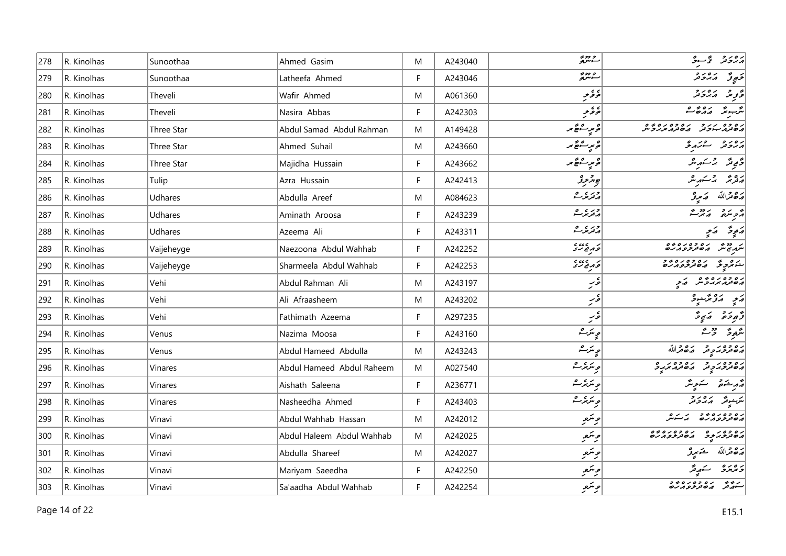| 278 | R. Kinolhas | Sunoothaa         | Ahmed Gasim               | M           | A243040 | و دور.<br>سوسرچ                           | دەر دېم تۇسوۋ                                                    |
|-----|-------------|-------------------|---------------------------|-------------|---------|-------------------------------------------|------------------------------------------------------------------|
| 279 | R. Kinolhas | Sunoothaa         | Latheefa Ahmed            | $\mathsf F$ | A243046 | و دوپر<br>سوسرچ                           | خبوٍوَّ كەردىر                                                   |
| 280 | R. Kinolhas | Theveli           | Wafir Ahmed               | M           | A061360 | ەءىر                                      | قرير مددور                                                       |
| 281 | R. Kinolhas | Theveli           | Nasira Abbas              | F.          | A242303 | می محر                                    | ش ئەرەپ ئە                                                       |
| 282 | R. Kinolhas | Three Star        | Abdul Samad Abdul Rahman  | M           | A149428 | <sub>م</sub> وسر سر سمع مر                | נסכם ננכנים כסנסגים<br>הסנגי-יכנג הסנגיגיכית                     |
| 283 | R. Kinolhas | Three Star        | Ahmed Suhail              | M           | A243660 | <sub>م</sub> وسید کا مع                   | رەرە ئەركەن                                                      |
| 284 | R. Kinolhas | <b>Three Star</b> | Majidha Hussain           | F           | A243662 | <sub>م</sub><br> م <sub>وسی</sub> ر مقیمہ | ۇي <sub>و</sub> تۇ ئەسىرىد                                       |
| 285 | R. Kinolhas | Tulip             | Azra Hussain              | F           | A242413 | ھ پر مربر<br>حر                           | ە ئوبتر برگە بەر بىر                                             |
| 286 | R. Kinolhas | Udhares           | Abdulla Areef             | M           | A084623 | د ر ، م<br>مرتد بر م                      | رە داللە كەيدۇ                                                   |
| 287 | R. Kinolhas | Udhares           | Aminath Aroosa            | F           | A243239 | جەرى ھ<br>مەنىرىك                         | أأزويتهم أأردون                                                  |
| 288 | R. Kinolhas | Udhares           | Azeema Ali                | F.          | A243311 | ە ئەر ئەر ھ                               | أرشفي فليستحيث                                                   |
| 289 | R. Kinolhas | Vaijeheyge        | Naezoona Abdul Wahhab     | F           | A242252 | ر<br>و د مع ر د                           | 04010701 477<br>شمری سر مرحود برحا                               |
| 290 | R. Kinolhas | Vaijeheyge        | Sharmeela Abdul Wahhab    | F.          | A242253 | ر<br> عدم حدد<br> -                       | ر و په ره ده د و د <del>.</del><br>شومر <i>د پ</i> ه شرو و در ده |
| 291 | R. Kinolhas | Vehi              | Abdul Rahman Ali          | M           | A243197 | ء<br>حرسہ                                 | גם כם גם כם קיבודים ביות.<br>הסמה ההביות הביות                   |
| 292 | R. Kinolhas | Vehi              | Ali Afraasheem            | M           | A243202 | غرسه                                      | ەر مۇترىنوقى<br>مۇ                                               |
| 293 | R. Kinolhas | Vehi              | Fathimath Azeema          | F           | A297235 | ء<br>حرسہ                                 |                                                                  |
| 294 | R. Kinolhas | Venus             | Nazima Moosa              | F           | A243160 | <sub>عو</sub> مئز ہے<br>پخ                | يتمغوش وحرثت                                                     |
| 295 | R. Kinolhas | Venus             | Abdul Hameed Abdulla      | M           | A243243 | ء ٍ سَرَتْه                               | رە دەر بەر ئەھىراللە                                             |
| 296 | R. Kinolhas | Vinares           | Abdul Hameed Abdul Raheem | M           | A027540 | مریز ک                                    | נסכסנג כ"נ הסנה <i>הבינה</i><br>הסנג כל הסנה <i>הג</i>           |
| 297 | R. Kinolhas | Vinares           | Aishath Saleena           | F           | A236771 | وبئر پڑے                                  | ۇرىئە ئىچىر                                                      |
| 298 | R. Kinolhas | Vinares           | Nasheedha Ahmed           | F.          | A243403 | اوپرېژم                                   | .<br>سرشیونژ اربرای در                                           |
| 299 | R. Kinolhas | Vinavi            | Abdul Wahhab Hassan       | M           | A242012 | ويتره                                     | رە دەرەپ دىكىر                                                   |
| 300 | R. Kinolhas | Vinavi            | Abdul Haleem Abdul Wahhab | M           | A242025 | وبترو                                     | ره وه ره ه ره وه ره وه<br>پره تر پر پرچ پر پرچ پر ره             |
| 301 | R. Kinolhas | Vinavi            | Abdulla Shareef           | M           | A242027 | وبتره                                     | رە دالله خومبر                                                   |
| 302 | R. Kinolhas | Vinavi            | Mariyam Saeedha           | F.          | A242250 | وبتره                                     | ويروه سكهيش                                                      |
| 303 | R. Kinolhas | Vinavi            | Sa'aadha Abdul Wahhab     | F.          | A242254 | ويترو                                     | ر ده ده ده ده ده د<br>سوړنر پره تر ژور ژه                        |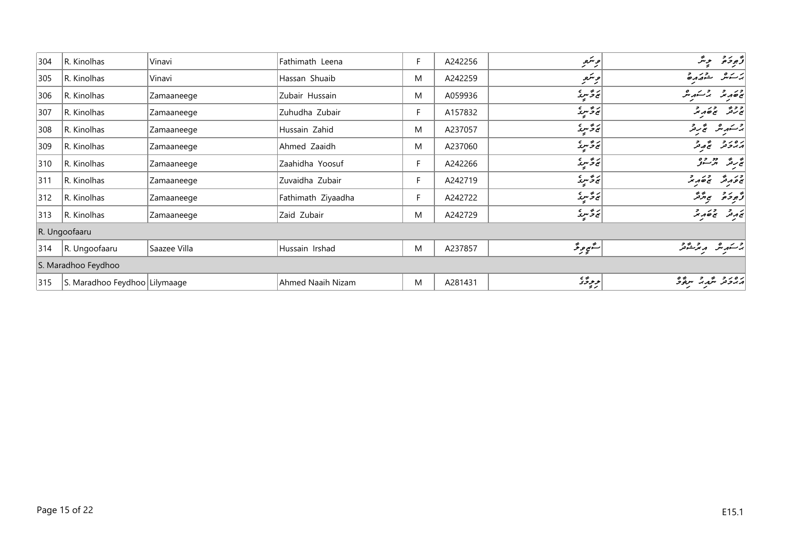| 304 | R. Kinolhas                   | Vinavi       | Fathimath Leena    | F. | A242256 | وتتره                                     | حریثر<br>  د څو څو                    |
|-----|-------------------------------|--------------|--------------------|----|---------|-------------------------------------------|---------------------------------------|
| 305 | R. Kinolhas                   | Vinavi       | Hassan Shuaib      | M  | A242259 | وتنرو                                     | ئەسەھە<br>شوره                        |
| 306 | R. Kinolhas                   | Zamaaneege   | Zubair Hussain     | M  | A059936 | ىر ئ <sup>ۇ</sup> س <sub>ى</sub> نج       | بر ئەسەر بىر<br>ح ئەمەمىر<br>ئى       |
| 307 | R. Kinolhas                   | Zamaaneege   | Zuhudha Zubair     | F. | A157832 | ىر ئ <sup>ۇ</sup> س <sub>ى</sub> رى<br>ئى | 2, 22, 22                             |
| 308 | R. Kinolhas                   | Zamaaneege   | Hussain Zahid      | M  | A237057 | ىر ئ <sup>ې</sup> سىرى<br>ئ               | برسكهر ش كار فر                       |
| 309 | R. Kinolhas                   | Zamaaneege   | Ahmed Zaaidh       | M  | A237060 | ئەۋسىد                                    | ے <sub>حر</sub> ور<br>پرور و          |
| 310 | R. Kinolhas                   | Zamaaneege   | Zaahidha Yoosuf    | F  | A242266 | ئەۋسىد                                    | مج رنگر در حرم دی<br>مح               |
| 311 | IR. Kinolhas                  | Zamaaneege   | Zuvaidha Zubair    | F  | A242719 | ىر ئ <sup>ې</sup> سىرى<br>ئ               | ح ئەرەتگە<br>ئ<br>حرم مر<br>سم ځوړ سر |
| 312 | R. Kinolhas                   | Zamaaneege   | Fathimath Ziyaadha | F. | A242722 | ئے تر سر ئے                               | تُهِ حَمَّى بِمَحَمَّد                |
| 313 | R. Kinolhas                   | Zamaaneege   | Zaid Zubair        | M  | A242729 | ئەۋسىدى                                   | 3.602                                 |
|     | R. Ungoofaaru                 |              |                    |    |         |                                           |                                       |
| 314 | R. Ungoofaaru                 | Saazee Villa | Hussain Irshad     | M  | A237857 | سەپى بۇ                                   | پرستمه سر مر پر شوتر                  |
|     | S. Maradhoo Feydhoo           |              |                    |    |         |                                           |                                       |
| 315 | S. Maradhoo Feydhoo Lilymaage |              | Ahmed Naaih Nizam  | M  | A281431 | ىرىپەتى<br>ر <sub>ە</sub>                 | رەرو شەر سۆۋ                          |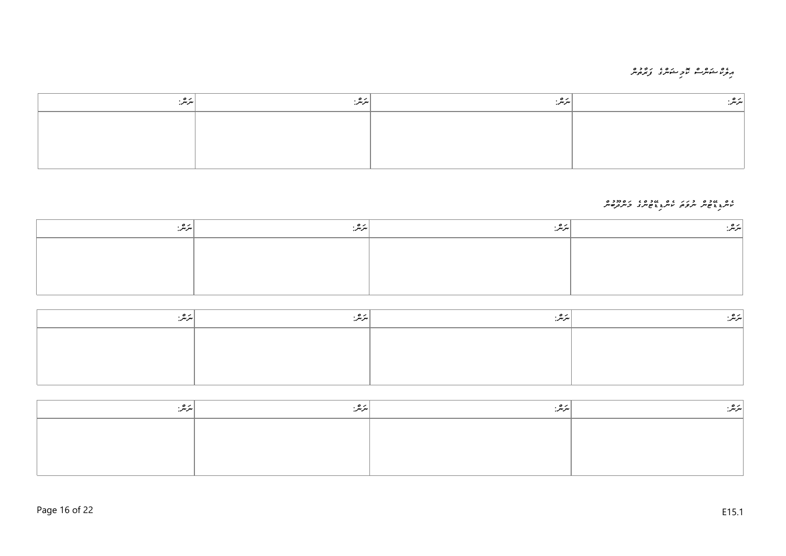## *w7qAn8m? sCw7mRo>u; wEw7mRw;sBo<*

| ' مرمر | 'يئرىثر: |
|--------|----------|
|        |          |
|        |          |
|        |          |

## *w7q9r@w7m> sCw7qHtFoFw7s; mAm=q7 w7qHtFoFw7s;*

| يئرمىش: | $^{\circ}$<br>. سر سر<br>$\cdot$ | $\circ$ $\sim$<br>-- | يئرمثر |
|---------|----------------------------------|----------------------|--------|
|         |                                  |                      |        |
|         |                                  |                      |        |
|         |                                  |                      |        |

| انترنثر: | $^{\circ}$ | يبرهر | $^{\circ}$<br>سرسر |
|----------|------------|-------|--------------------|
|          |            |       |                    |
|          |            |       |                    |
|          |            |       |                    |

| ' ئىرتىر: | سر سر |  |
|-----------|-------|--|
|           |       |  |
|           |       |  |
|           |       |  |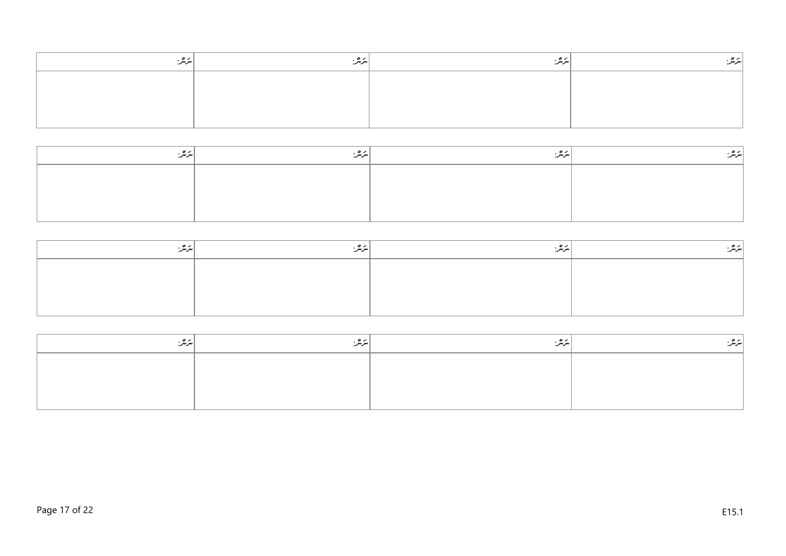| يزهر | $\mathcal{\mathcal{L}}$ | ىئرىتر: |  |
|------|-------------------------|---------|--|
|      |                         |         |  |
|      |                         |         |  |
|      |                         |         |  |

| متريثر به | 。<br>'سرسر'۔ | يتزيترا | سرسر |
|-----------|--------------|---------|------|
|           |              |         |      |
|           |              |         |      |
|           |              |         |      |

| ىئرىتر. | $\sim$ | ا بر هه. | لىرىش |
|---------|--------|----------|-------|
|         |        |          |       |
|         |        |          |       |
|         |        |          |       |

| يترمثر | $^{\circ}$ | ىر پىر |
|--------|------------|--------|
|        |            |        |
|        |            |        |
|        |            |        |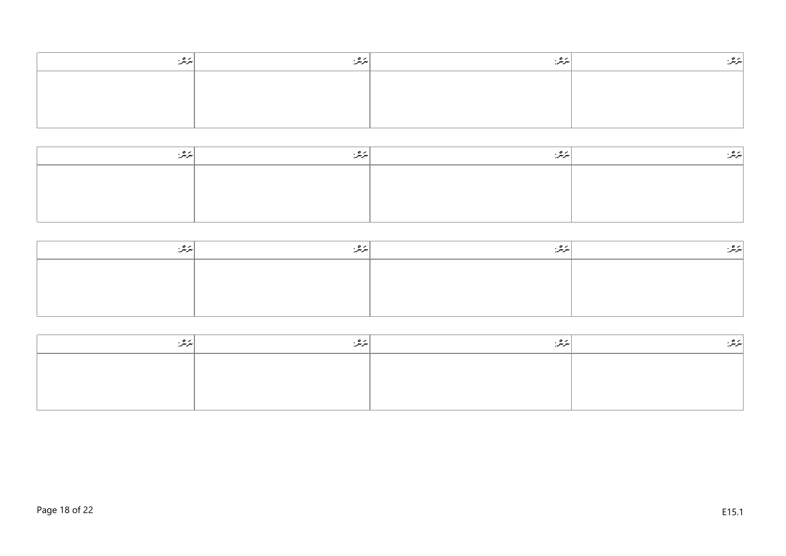| يره | $\overline{\phantom{a}}$ | $\overset{\circ}{\cdot}$ | $^{\circ}$<br><sup>.</sup> سرسر. |
|-----|--------------------------|--------------------------|----------------------------------|
|     |                          |                          |                                  |
|     |                          |                          |                                  |
|     |                          |                          |                                  |

| ىئرىتىز: | $^{\circ}$<br>" سرسر. | يبرحه | o . |
|----------|-----------------------|-------|-----|
|          |                       |       |     |
|          |                       |       |     |
|          |                       |       |     |

| انترنثر: | ر ه |  |
|----------|-----|--|
|          |     |  |
|          |     |  |
|          |     |  |

|  | . ه |
|--|-----|
|  |     |
|  |     |
|  |     |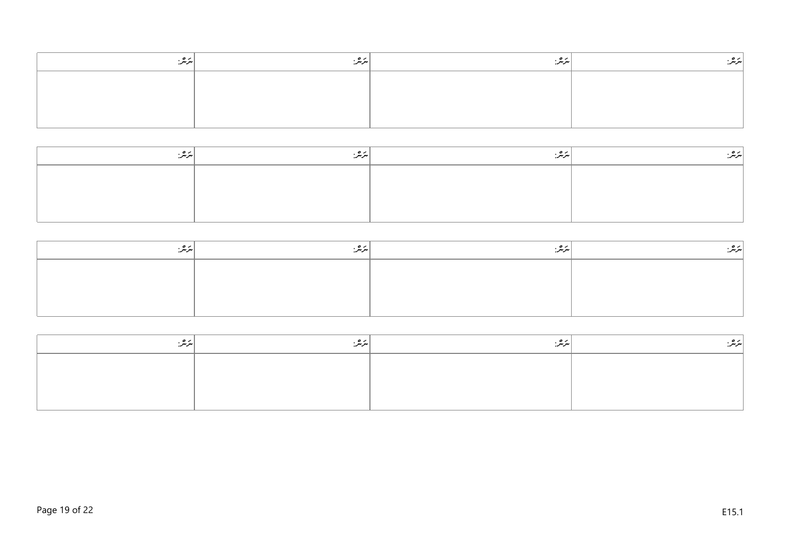| ير هو . | $\overline{\phantom{a}}$ | يرمر | اير هنه. |
|---------|--------------------------|------|----------|
|         |                          |      |          |
|         |                          |      |          |
|         |                          |      |          |

| ىر تىر: | $\circ$ $\sim$<br>" سرسر . | يبرحه | o . |
|---------|----------------------------|-------|-----|
|         |                            |       |     |
|         |                            |       |     |
|         |                            |       |     |

| 'تترنثر: | . .<br>يسمونس. |  |
|----------|----------------|--|
|          |                |  |
|          |                |  |
|          |                |  |

|  | . ه |
|--|-----|
|  |     |
|  |     |
|  |     |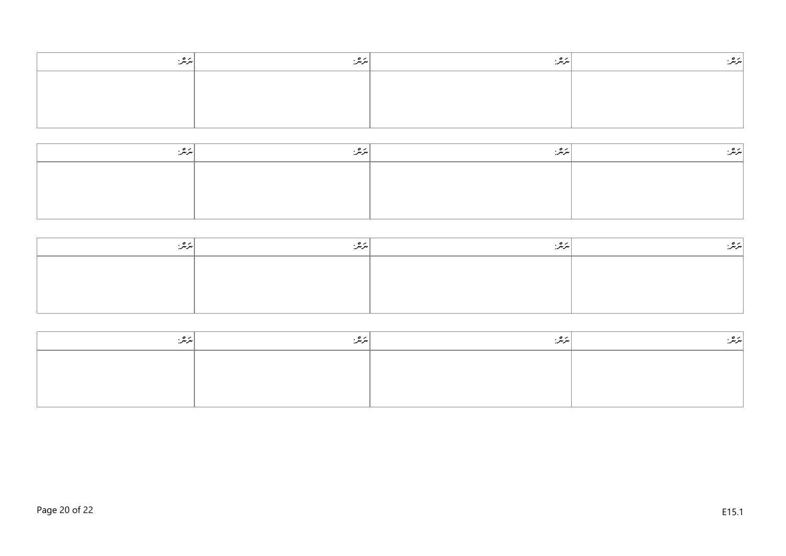| $\cdot$ | ο. | $\frac{\circ}{\cdot}$ | $\sim$<br>سرسر |
|---------|----|-----------------------|----------------|
|         |    |                       |                |
|         |    |                       |                |
|         |    |                       |                |

| ايرعر: | ر ه<br>. . |  |
|--------|------------|--|
|        |            |  |
|        |            |  |
|        |            |  |

| بر ه | 。 | $\sim$<br>َ سومس. |  |
|------|---|-------------------|--|
|      |   |                   |  |
|      |   |                   |  |
|      |   |                   |  |

| 。<br>. س | ىرىىر |  |
|----------|-------|--|
|          |       |  |
|          |       |  |
|          |       |  |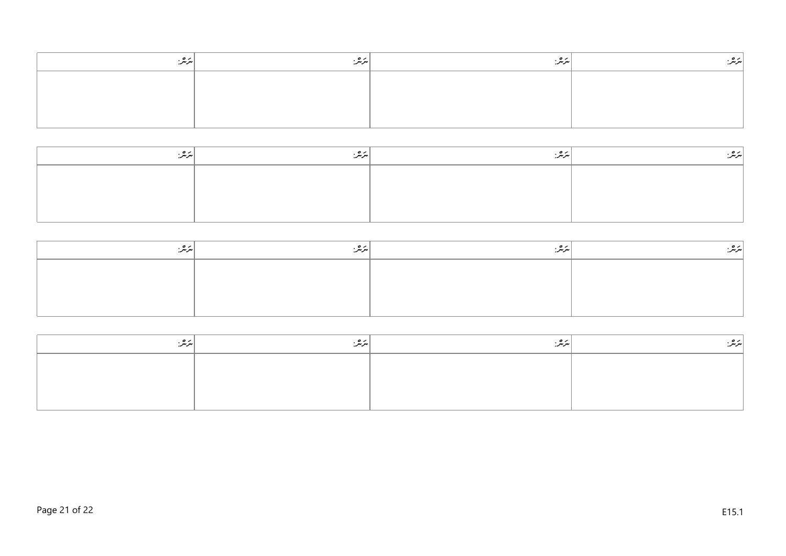| ير هو . | $\overline{\phantom{a}}$ | يرمر | اير هنه. |
|---------|--------------------------|------|----------|
|         |                          |      |          |
|         |                          |      |          |
|         |                          |      |          |

| ىر تىر: | $\circ$ $\sim$<br>" سرسر . | يبرحه | o . |
|---------|----------------------------|-------|-----|
|         |                            |       |     |
|         |                            |       |     |
|         |                            |       |     |

| 'تترنثر: | . .<br>يسمونس. |  |
|----------|----------------|--|
|          |                |  |
|          |                |  |
|          |                |  |

|  | . ه |
|--|-----|
|  |     |
|  |     |
|  |     |